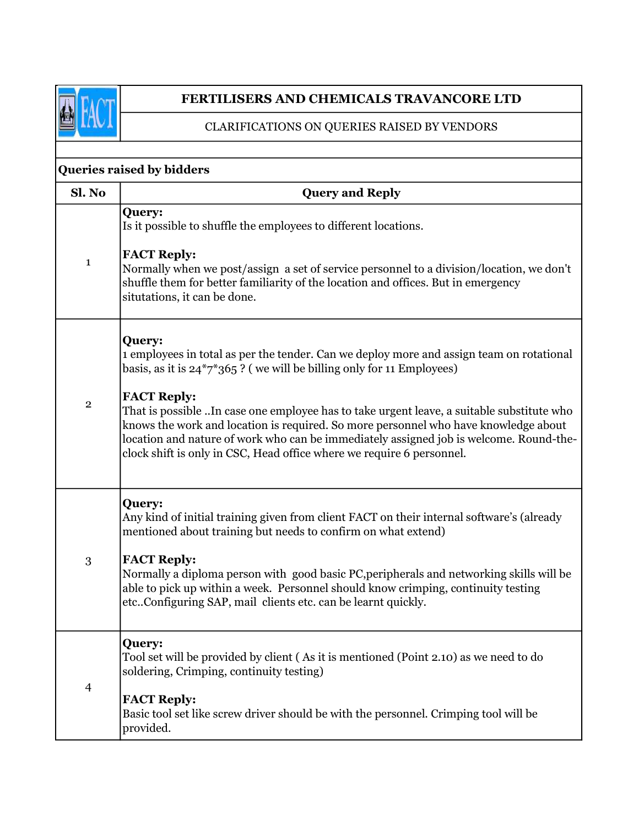

## FERTILISERS AND CHEMICALS TRAVANCORE LTD

CLARIFICATIONS ON QUERIES RAISED BY VENDORS

| Queries raised by bidders |                                                                                                                                                                                                                                                                                                                                                                                                                                                                                                                                                                        |  |
|---------------------------|------------------------------------------------------------------------------------------------------------------------------------------------------------------------------------------------------------------------------------------------------------------------------------------------------------------------------------------------------------------------------------------------------------------------------------------------------------------------------------------------------------------------------------------------------------------------|--|
| Sl. No                    | <b>Query and Reply</b>                                                                                                                                                                                                                                                                                                                                                                                                                                                                                                                                                 |  |
| $\mathbf{1}$              | Query:<br>Is it possible to shuffle the employees to different locations.<br><b>FACT Reply:</b><br>Normally when we post/assign a set of service personnel to a division/location, we don't<br>shuffle them for better familiarity of the location and offices. But in emergency<br>situtations, it can be done.                                                                                                                                                                                                                                                       |  |
| $\overline{2}$            | Query:<br>1 employees in total as per the tender. Can we deploy more and assign team on rotational<br>basis, as it is $24^{\ast}7^{\ast}365$ ? (we will be billing only for 11 Employees)<br><b>FACT Reply:</b><br>That is possible In case one employee has to take urgent leave, a suitable substitute who<br>knows the work and location is required. So more personnel who have knowledge about<br>location and nature of work who can be immediately assigned job is welcome. Round-the-<br>clock shift is only in CSC, Head office where we require 6 personnel. |  |
| 3                         | Query:<br>Any kind of initial training given from client FACT on their internal software's (already<br>mentioned about training but needs to confirm on what extend)<br><b>FACT Reply:</b><br>Normally a diploma person with good basic PC, peripherals and networking skills will be<br>able to pick up within a week. Personnel should know crimping, continuity testing<br>etcConfiguring SAP, mail clients etc. can be learnt quickly.                                                                                                                             |  |
| $\overline{4}$            | <b>Query:</b><br>Tool set will be provided by client (As it is mentioned (Point 2.10) as we need to do<br>soldering, Crimping, continuity testing)<br><b>FACT Reply:</b><br>Basic tool set like screw driver should be with the personnel. Crimping tool will be<br>provided.                                                                                                                                                                                                                                                                                          |  |